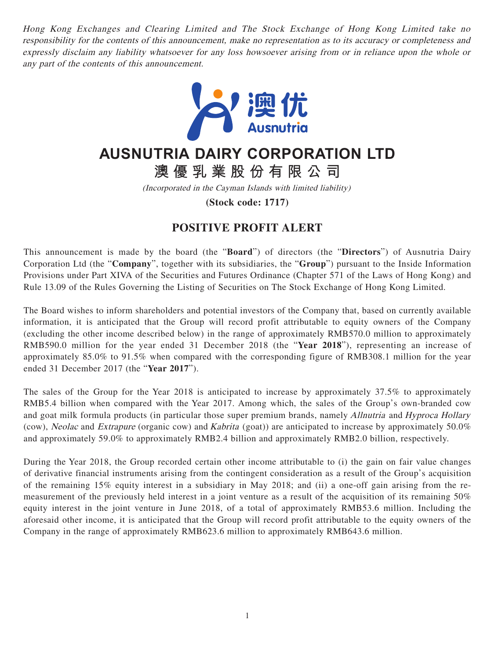Hong Kong Exchanges and Clearing Limited and The Stock Exchange of Hong Kong Limited take no responsibility for the contents of this announcement, make no representation as to its accuracy or completeness and expressly disclaim any liability whatsoever for any loss howsoever arising from or in reliance upon the whole or any part of the contents of this announcement.



## **AUSNUTRIA DAIRY CORPORATION LTD**

**澳優乳業股份有限公司**

(Incorporated in the Cayman Islands with limited liability)

**(Stock code: 1717)**

## **POSITIVE PROFIT ALERT**

This announcement is made by the board (the "**Board**") of directors (the "**Directors**") of Ausnutria Dairy Corporation Ltd (the "**Company**", together with its subsidiaries, the "**Group**") pursuant to the Inside Information Provisions under Part XIVA of the Securities and Futures Ordinance (Chapter 571 of the Laws of Hong Kong) and Rule 13.09 of the Rules Governing the Listing of Securities on The Stock Exchange of Hong Kong Limited.

The Board wishes to inform shareholders and potential investors of the Company that, based on currently available information, it is anticipated that the Group will record profit attributable to equity owners of the Company (excluding the other income described below) in the range of approximately RMB570.0 million to approximately RMB590.0 million for the year ended 31 December 2018 (the "**Year 2018**"), representing an increase of approximately 85.0% to 91.5% when compared with the corresponding figure of RMB308.1 million for the year ended 31 December 2017 (the "**Year 2017**").

The sales of the Group for the Year 2018 is anticipated to increase by approximately 37.5% to approximately RMB5.4 billion when compared with the Year 2017. Among which, the sales of the Group's own-branded cow and goat milk formula products (in particular those super premium brands, namely Allnutria and Hyproca Hollary (cow), Neolac and Extrapure (organic cow) and Kabrita (goat)) are anticipated to increase by approximately 50.0% and approximately 59.0% to approximately RMB2.4 billion and approximately RMB2.0 billion, respectively.

During the Year 2018, the Group recorded certain other income attributable to (i) the gain on fair value changes of derivative financial instruments arising from the contingent consideration as a result of the Group's acquisition of the remaining 15% equity interest in a subsidiary in May 2018; and (ii) a one-off gain arising from the remeasurement of the previously held interest in a joint venture as a result of the acquisition of its remaining 50% equity interest in the joint venture in June 2018, of a total of approximately RMB53.6 million. Including the aforesaid other income, it is anticipated that the Group will record profit attributable to the equity owners of the Company in the range of approximately RMB623.6 million to approximately RMB643.6 million.